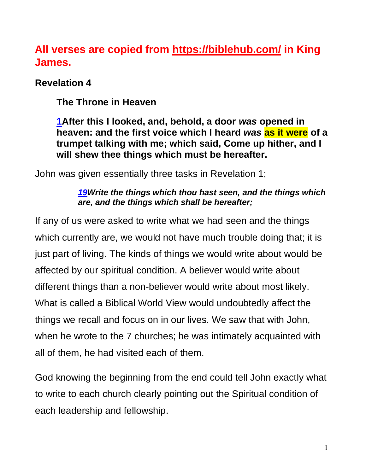## **All verses are copied from https://biblehub.com/ in King James.**

## **Revelation 4**

**The Throne in Heaven**

**[1A](http://biblehub.com/revelation/4-1.htm)fter this I looked, and, behold, a door** *was* **opened in heaven: and the first voice which I heard** *was* **as it were of a trumpet talking with me; which said, Come up hither, and I will shew thee things which must be hereafter.**

John was given essentially three tasks in Revelation 1;

#### *[19W](http://biblehub.com/revelation/1-19.htm)rite the things which thou hast seen, and the things which are, and the things which shall be hereafter;*

If any of us were asked to write what we had seen and the things which currently are, we would not have much trouble doing that; it is just part of living. The kinds of things we would write about would be affected by our spiritual condition. A believer would write about different things than a non-believer would write about most likely. What is called a Biblical World View would undoubtedly affect the things we recall and focus on in our lives. We saw that with John, when he wrote to the 7 churches; he was intimately acquainted with all of them, he had visited each of them.

God knowing the beginning from the end could tell John exactly what to write to each church clearly pointing out the Spiritual condition of each leadership and fellowship.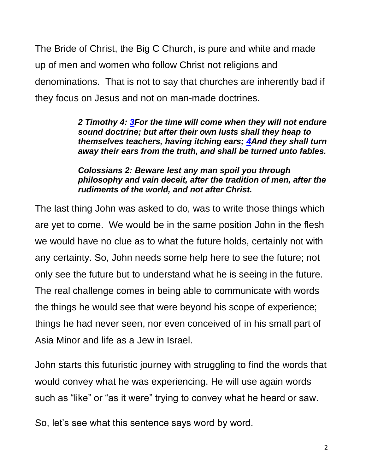The Bride of Christ, the Big C Church, is pure and white and made up of men and women who follow Christ not religions and denominations. That is not to say that churches are inherently bad if they focus on Jesus and not on man-made doctrines.

> *2 Timothy 4: [3F](https://biblehub.com/2_timothy/4-3.htm)or the time will come when they will not endure sound doctrine; but after their own lusts shall they heap to themselves teachers, having itching ears; [4A](https://biblehub.com/2_timothy/4-4.htm)nd they shall turn away their ears from the truth, and shall be turned unto fables.*

> *Colossians 2: Beware lest any man spoil you through philosophy and vain deceit, after the tradition of men, after the rudiments of the world, and not after Christ.*

The last thing John was asked to do, was to write those things which are yet to come. We would be in the same position John in the flesh we would have no clue as to what the future holds, certainly not with any certainty. So, John needs some help here to see the future; not only see the future but to understand what he is seeing in the future. The real challenge comes in being able to communicate with words the things he would see that were beyond his scope of experience; things he had never seen, nor even conceived of in his small part of Asia Minor and life as a Jew in Israel.

John starts this futuristic journey with struggling to find the words that would convey what he was experiencing. He will use again words such as "like" or "as it were" trying to convey what he heard or saw.

So, let's see what this sentence says word by word.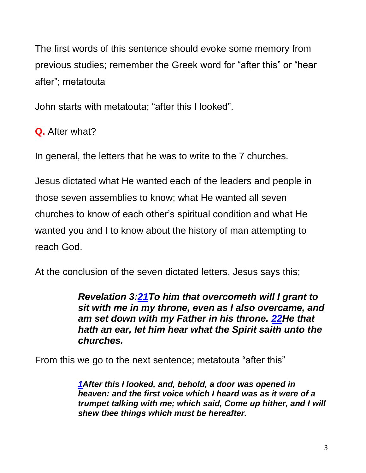The first words of this sentence should evoke some memory from previous studies; remember the Greek word for "after this" or "hear after"; metatouta

John starts with metatouta; "after this I looked".

**Q.** After what?

In general, the letters that he was to write to the 7 churches.

Jesus dictated what He wanted each of the leaders and people in those seven assemblies to know; what He wanted all seven churches to know of each other's spiritual condition and what He wanted you and I to know about the history of man attempting to reach God.

At the conclusion of the seven dictated letters, Jesus says this;

*Revelation 3[:21T](http://biblehub.com/revelation/3-21.htm)o him that overcometh will I grant to sit with me in my throne, even as I also overcame, and am set down with my Father in his throne. [22H](http://biblehub.com/revelation/3-22.htm)e that hath an ear, let him hear what the Spirit saith unto the churches.*

From this we go to the next sentence; metatouta "after this"

*[1A](http://biblehub.com/revelation/4-1.htm)fter this I looked, and, behold, a door was opened in heaven: and the first voice which I heard was as it were of a trumpet talking with me; which said, Come up hither, and I will shew thee things which must be hereafter.*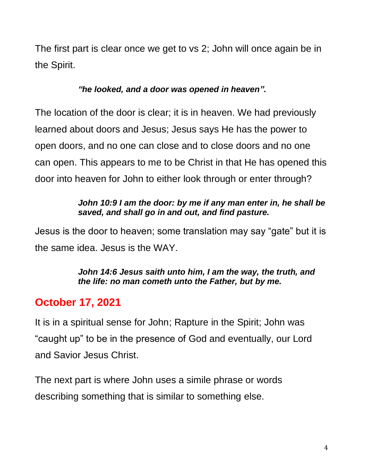The first part is clear once we get to vs 2; John will once again be in the Spirit.

## *"he looked, and a door was opened in heaven".*

The location of the door is clear; it is in heaven. We had previously learned about doors and Jesus; Jesus says He has the power to open doors, and no one can close and to close doors and no one can open. This appears to me to be Christ in that He has opened this door into heaven for John to either look through or enter through?

### *John 10:9 I am the door: by me if any man enter in, he shall be saved, and shall go in and out, and find pasture.*

Jesus is the door to heaven; some translation may say "gate" but it is the same idea. Jesus is the WAY.

#### *John 14:6 Jesus saith unto him, I am the way, the truth, and the life: no man cometh unto the Father, but by me.*

# **October 17, 2021**

It is in a spiritual sense for John; Rapture in the Spirit; John was "caught up" to be in the presence of God and eventually, our Lord and Savior Jesus Christ.

The next part is where John uses a simile phrase or words describing something that is similar to something else.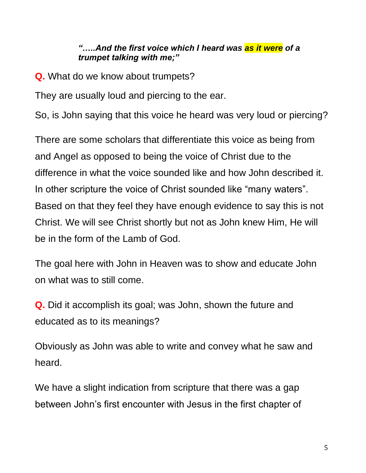#### *"…..And the first voice which I heard was as it were of a trumpet talking with me;"*

**Q.** What do we know about trumpets?

They are usually loud and piercing to the ear.

So, is John saying that this voice he heard was very loud or piercing?

There are some scholars that differentiate this voice as being from and Angel as opposed to being the voice of Christ due to the difference in what the voice sounded like and how John described it. In other scripture the voice of Christ sounded like "many waters". Based on that they feel they have enough evidence to say this is not Christ. We will see Christ shortly but not as John knew Him, He will be in the form of the Lamb of God.

The goal here with John in Heaven was to show and educate John on what was to still come.

**Q.** Did it accomplish its goal; was John, shown the future and educated as to its meanings?

Obviously as John was able to write and convey what he saw and heard.

We have a slight indication from scripture that there was a gap between John's first encounter with Jesus in the first chapter of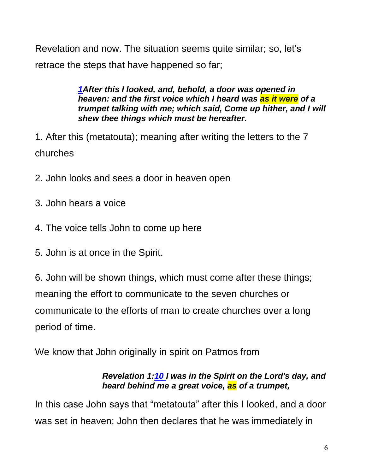Revelation and now. The situation seems quite similar; so, let's retrace the steps that have happened so far;

> *[1A](http://biblehub.com/revelation/4-1.htm)fter this I looked, and, behold, a door was opened in heaven: and the first voice which I heard was as it were of a trumpet talking with me; which said, Come up hither, and I will shew thee things which must be hereafter.*

1. After this (metatouta); meaning after writing the letters to the 7 churches

- 2. John looks and sees a door in heaven open
- 3. John hears a voice
- 4. The voice tells John to come up here
- 5. John is at once in the Spirit.

6. John will be shown things, which must come after these things; meaning the effort to communicate to the seven churches or communicate to the efforts of man to create churches over a long period of time.

We know that John originally in spirit on Patmos from

#### *Revelation 1[:10](http://biblehub.com/revelation/1-10.htm) I was in the Spirit on the Lord's day, and heard behind me a great voice, as of a trumpet,*

In this case John says that "metatouta" after this I looked, and a door was set in heaven; John then declares that he was immediately in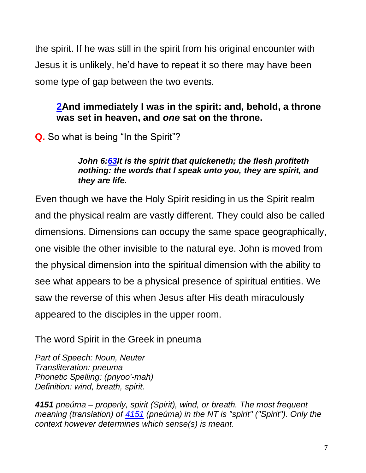the spirit. If he was still in the spirit from his original encounter with Jesus it is unlikely, he'd have to repeat it so there may have been some type of gap between the two events.

## **[2A](http://biblehub.com/revelation/4-2.htm)nd immediately I was in the spirit: and, behold, a throne was set in heaven, and** *one* **sat on the throne.**

**Q.** So what is being "In the Spirit"?

#### *John 6[:63I](http://biblehub.com/john/6-63.htm)t is the spirit that quickeneth; the flesh profiteth nothing: the words that I speak unto you, they are spirit, and they are life.*

Even though we have the Holy Spirit residing in us the Spirit realm and the physical realm are vastly different. They could also be called dimensions. Dimensions can occupy the same space geographically, one visible the other invisible to the natural eye. John is moved from the physical dimension into the spiritual dimension with the ability to see what appears to be a physical presence of spiritual entities. We saw the reverse of this when Jesus after His death miraculously appeared to the disciples in the upper room.

The word Spirit in the Greek in pneuma

*Part of Speech: Noun, Neuter Transliteration: pneuma Phonetic Spelling: (pnyoo'-mah) Definition: wind, breath, spirit.*

*4151 pneúma – properly, spirit (Spirit), wind, or breath. The most frequent meaning (translation) of [4151](http://biblehub.com/greek/4151.htm) (pneúma) in the NT is "spirit" ("Spirit"). Only the context however determines which sense(s) is meant.*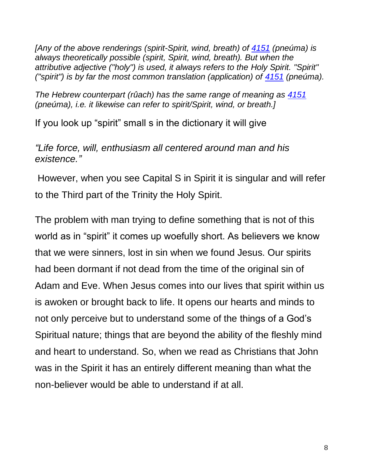*[Any of the above renderings (spirit-Spirit, wind, breath) of [4151](http://biblehub.com/greek/4151.htm) (pneúma) is always theoretically possible (spirit, Spirit, wind, breath). But when the attributive adjective ("holy") is used, it always refers to the Holy Spirit. "Spirit" ("spirit") is by far the most common translation (application) of [4151](http://biblehub.com/greek/4151.htm) (pneúma).*

*The Hebrew counterpart (rûach) has the same range of meaning as [4151](http://biblehub.com/greek/4151.htm) (pneúma), i.e. it likewise can refer to spirit/Spirit, wind, or breath.]*

If you look up "spirit" small s in the dictionary it will give

*"Life force, will, enthusiasm all centered around man and his existence."*

However, when you see Capital S in Spirit it is singular and will refer to the Third part of the Trinity the Holy Spirit.

The problem with man trying to define something that is not of this world as in "spirit" it comes up woefully short. As believers we know that we were sinners, lost in sin when we found Jesus. Our spirits had been dormant if not dead from the time of the original sin of Adam and Eve. When Jesus comes into our lives that spirit within us is awoken or brought back to life. It opens our hearts and minds to not only perceive but to understand some of the things of a God's Spiritual nature; things that are beyond the ability of the fleshly mind and heart to understand. So, when we read as Christians that John was in the Spirit it has an entirely different meaning than what the non-believer would be able to understand if at all.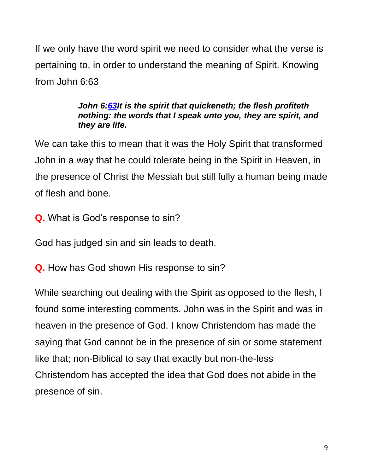If we only have the word spirit we need to consider what the verse is pertaining to, in order to understand the meaning of Spirit. Knowing from John 6:63

#### *John 6[:63I](http://biblehub.com/john/6-63.htm)t is the spirit that quickeneth; the flesh profiteth nothing: the words that I speak unto you, they are spirit, and they are life.*

We can take this to mean that it was the Holy Spirit that transformed John in a way that he could tolerate being in the Spirit in Heaven, in the presence of Christ the Messiah but still fully a human being made of flesh and bone.

**Q.** What is God's response to sin?

God has judged sin and sin leads to death.

**Q.** How has God shown His response to sin?

While searching out dealing with the Spirit as opposed to the flesh, I found some interesting comments. John was in the Spirit and was in heaven in the presence of God. I know Christendom has made the saying that God cannot be in the presence of sin or some statement like that; non-Biblical to say that exactly but non-the-less Christendom has accepted the idea that God does not abide in the presence of sin.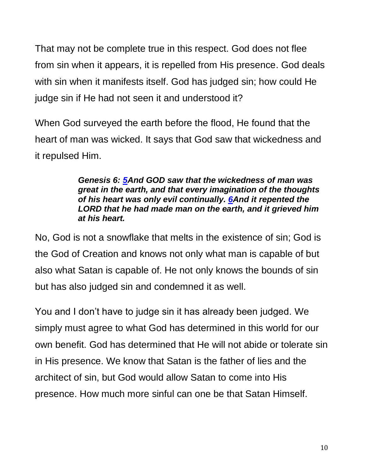That may not be complete true in this respect. God does not flee from sin when it appears, it is repelled from His presence. God deals with sin when it manifests itself. God has judged sin; how could He judge sin if He had not seen it and understood it?

When God surveyed the earth before the flood, He found that the heart of man was wicked. It says that God saw that wickedness and it repulsed Him.

#### *Genesis 6: [5A](https://biblehub.com/genesis/6-5.htm)nd GOD saw that the wickedness of man was great in the earth, and that every imagination of the thoughts of his heart was only evil continually. [6A](https://biblehub.com/genesis/6-6.htm)nd it repented the LORD that he had made man on the earth, and it grieved him at his heart.*

No, God is not a snowflake that melts in the existence of sin; God is the God of Creation and knows not only what man is capable of but also what Satan is capable of. He not only knows the bounds of sin but has also judged sin and condemned it as well.

You and I don't have to judge sin it has already been judged. We simply must agree to what God has determined in this world for our own benefit. God has determined that He will not abide or tolerate sin in His presence. We know that Satan is the father of lies and the architect of sin, but God would allow Satan to come into His presence. How much more sinful can one be that Satan Himself.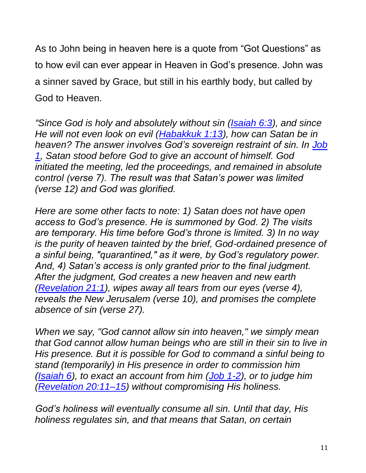As to John being in heaven here is a quote from "Got Questions" as to how evil can ever appear in Heaven in God's presence. John was a sinner saved by Grace, but still in his earthly body, but called by God to Heaven.

*"Since God is holy and absolutely without sin [\(Isaiah 6:3\)](https://biblia.com/bible/kjv1900/Isa%206.3), and since He will not even look on evil [\(Habakkuk 1:13\)](https://biblia.com/bible/kjv1900/Hab%201.13), how can Satan be in heaven? The answer involves God's sovereign restraint of sin. In [Job](https://biblia.com/bible/kjv1900/Job%201)  [1,](https://biblia.com/bible/kjv1900/Job%201) Satan stood before God to give an account of himself. God initiated the meeting, led the proceedings, and remained in absolute control (verse 7). The result was that Satan's power was limited (verse 12) and God was glorified.*

*Here are some other facts to note: 1) Satan does not have open access to God's presence. He is summoned by God. 2) The visits are temporary. His time before God's throne is limited. 3) In no way is the purity of heaven tainted by the brief, God-ordained presence of a sinful being, "quarantined," as it were, by God's regulatory power. And, 4) Satan's access is only granted prior to the final judgment. After the judgment, God creates a new heaven and new earth [\(Revelation 21:1\)](https://biblia.com/bible/kjv1900/Rev%2021.1), wipes away all tears from our eyes (verse 4), reveals the New Jerusalem (verse 10), and promises the complete absence of sin (verse 27).*

*When we say, "God cannot allow sin into heaven," we simply mean that God cannot allow human beings who are still in their sin to live in His presence. But it is possible for God to command a sinful being to stand (temporarily) in His presence in order to commission him [\(Isaiah 6\)](https://biblia.com/bible/kjv1900/Isa%206), to exact an account from him [\(Job 1-2\)](https://biblia.com/bible/kjv1900/Job%201-2), or to judge him [\(Revelation 20:11–15\)](https://biblia.com/bible/kjv1900/Rev%2020.11%E2%80%9315) without compromising His holiness.*

*God's holiness will eventually consume all sin. Until that day, His holiness regulates sin, and that means that Satan, on certain*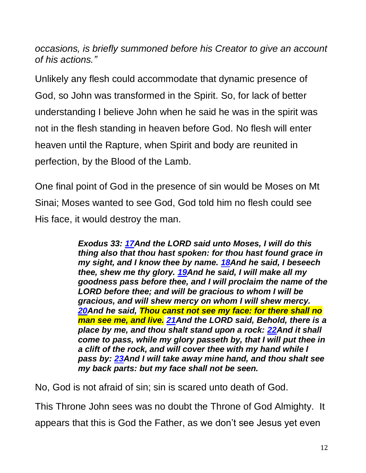*occasions, is briefly summoned before his Creator to give an account of his actions."*

Unlikely any flesh could accommodate that dynamic presence of God, so John was transformed in the Spirit. So, for lack of better understanding I believe John when he said he was in the spirit was not in the flesh standing in heaven before God. No flesh will enter heaven until the Rapture, when Spirit and body are reunited in perfection, by the Blood of the Lamb.

One final point of God in the presence of sin would be Moses on Mt Sinai; Moses wanted to see God, God told him no flesh could see His face, it would destroy the man.

> *Exodus 33: [17A](http://biblehub.com/exodus/33-17.htm)nd the LORD said unto Moses, I will do this thing also that thou hast spoken: for thou hast found grace in my sight, and I know thee by name. [18A](http://biblehub.com/exodus/33-18.htm)nd he said, I beseech thee, shew me thy glory. [19A](http://biblehub.com/exodus/33-19.htm)nd he said, I will make all my goodness pass before thee, and I will proclaim the name of the LORD before thee; and will be gracious to whom I will be gracious, and will shew mercy on whom I will shew mercy. [20A](http://biblehub.com/exodus/33-20.htm)nd he said, Thou canst not see my face: for there shall no man see me, and live. [21A](http://biblehub.com/exodus/33-21.htm)nd the LORD said, Behold, there is a place by me, and thou shalt stand upon a rock: [22A](http://biblehub.com/exodus/33-22.htm)nd it shall come to pass, while my glory passeth by, that I will put thee in a clift of the rock, and will cover thee with my hand while I pass by: [23A](http://biblehub.com/exodus/33-23.htm)nd I will take away mine hand, and thou shalt see my back parts: but my face shall not be seen.*

No, God is not afraid of sin; sin is scared unto death of God.

This Throne John sees was no doubt the Throne of God Almighty. It appears that this is God the Father, as we don't see Jesus yet even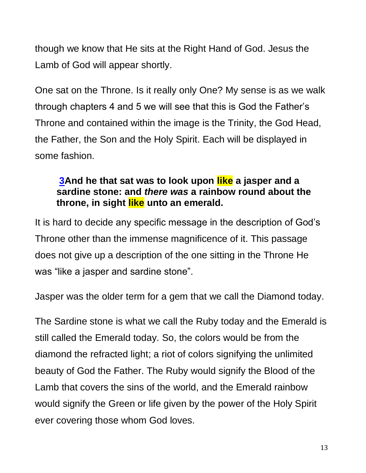though we know that He sits at the Right Hand of God. Jesus the Lamb of God will appear shortly.

One sat on the Throne. Is it really only One? My sense is as we walk through chapters 4 and 5 we will see that this is God the Father's Throne and contained within the image is the Trinity, the God Head, the Father, the Son and the Holy Spirit. Each will be displayed in some fashion.

## **[3A](http://biblehub.com/revelation/4-3.htm)nd he that sat was to look upon like a jasper and a sardine stone: and** *there was* **a rainbow round about the throne, in sight like unto an emerald.**

It is hard to decide any specific message in the description of God's Throne other than the immense magnificence of it. This passage does not give up a description of the one sitting in the Throne He was "like a jasper and sardine stone".

Jasper was the older term for a gem that we call the Diamond today.

The Sardine stone is what we call the Ruby today and the Emerald is still called the Emerald today. So, the colors would be from the diamond the refracted light; a riot of colors signifying the unlimited beauty of God the Father. The Ruby would signify the Blood of the Lamb that covers the sins of the world, and the Emerald rainbow would signify the Green or life given by the power of the Holy Spirit ever covering those whom God loves.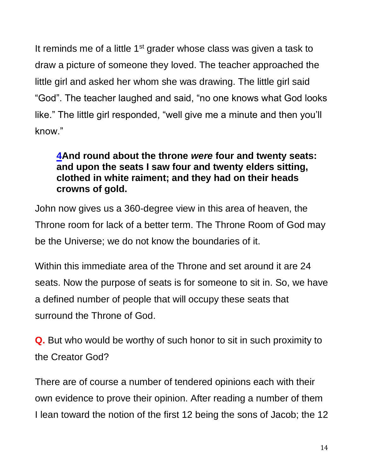It reminds me of a little  $1<sup>st</sup>$  grader whose class was given a task to draw a picture of someone they loved. The teacher approached the little girl and asked her whom she was drawing. The little girl said "God". The teacher laughed and said, "no one knows what God looks like." The little girl responded, "well give me a minute and then you'll know."

## **[4A](http://biblehub.com/revelation/4-4.htm)nd round about the throne** *were* **four and twenty seats: and upon the seats I saw four and twenty elders sitting, clothed in white raiment; and they had on their heads crowns of gold.**

John now gives us a 360-degree view in this area of heaven, the Throne room for lack of a better term. The Throne Room of God may be the Universe; we do not know the boundaries of it.

Within this immediate area of the Throne and set around it are 24 seats. Now the purpose of seats is for someone to sit in. So, we have a defined number of people that will occupy these seats that surround the Throne of God.

**Q.** But who would be worthy of such honor to sit in such proximity to the Creator God?

There are of course a number of tendered opinions each with their own evidence to prove their opinion. After reading a number of them I lean toward the notion of the first 12 being the sons of Jacob; the 12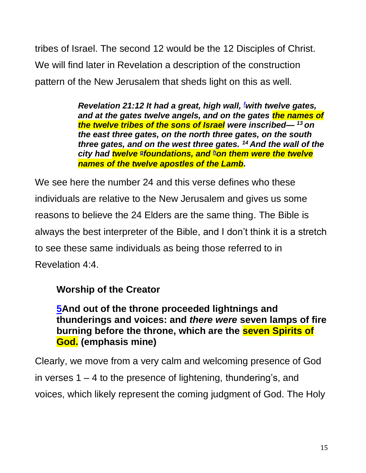tribes of Israel. The second 12 would be the 12 Disciples of Christ. We will find later in Revelation a description of the construction pattern of the New Jerusalem that sheds light on this as well.

> *Revelation 21:12 It had a great, high wall,<sup>f</sup>with twelve gates, and at the gates twelve angels, and on the gates the names of the twelve tribes of the sons of Israel were inscribed— <sup>13</sup> on the east three gates, on the north three gates, on the south three gates, and on the west three gates. <sup>14</sup> And the wall of the city had twelve [g](https://biblia.com/bible/esv/Rev.21.12-14#footnote2) foundations, and [h](https://biblia.com/bible/esv/Rev.21.12-14#footnote3)on them were the twelve names of the twelve apostles of the Lamb.*

We see here the number 24 and this verse defines who these individuals are relative to the New Jerusalem and gives us some reasons to believe the 24 Elders are the same thing. The Bible is always the best interpreter of the Bible, and I don't think it is a stretch to see these same individuals as being those referred to in Revelation 4:4.

## **Worship of the Creator**

**[5A](http://biblehub.com/revelation/4-5.htm)nd out of the throne proceeded lightnings and thunderings and voices: and** *there were* **seven lamps of fire burning before the throne, which are the seven Spirits of God. (emphasis mine)**

Clearly, we move from a very calm and welcoming presence of God in verses  $1 - 4$  to the presence of lightening, thundering's, and voices, which likely represent the coming judgment of God. The Holy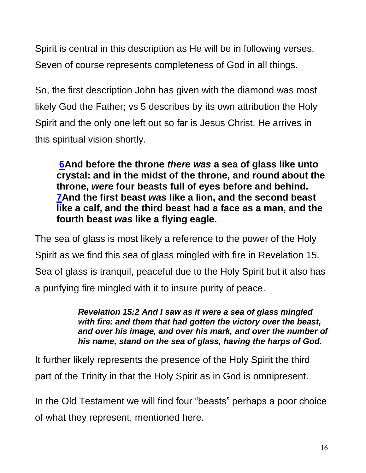Spirit is central in this description as He will be in following verses. Seven of course represents completeness of God in all things.

So, the first description John has given with the diamond was most likely God the Father; vs 5 describes by its own attribution the Holy Spirit and the only one left out so far is Jesus Christ. He arrives in this spiritual vision shortly.

**[6A](http://biblehub.com/revelation/4-6.htm)nd before the throne** *there was* **a sea of glass like unto crystal: and in the midst of the throne, and round about the throne,** *were* **four beasts full of eyes before and behind. [7A](http://biblehub.com/revelation/4-7.htm)nd the first beast** *was* **like a lion, and the second beast like a calf, and the third beast had a face as a man, and the fourth beast** *was* **like a flying eagle.** 

The sea of glass is most likely a reference to the power of the Holy Spirit as we find this sea of glass mingled with fire in Revelation 15. Sea of glass is tranquil, peaceful due to the Holy Spirit but it also has a purifying fire mingled with it to insure purity of peace.

> *Revelation 15:2 And I saw as it were a sea of glass mingled with fire: and them that had gotten the victory over the beast, and over his image, and over his mark, and over the number of his name, stand on the sea of glass, having the harps of God.*

It further likely represents the presence of the Holy Spirit the third part of the Trinity in that the Holy Spirit as in God is omnipresent.

In the Old Testament we will find four "beasts" perhaps a poor choice of what they represent, mentioned here.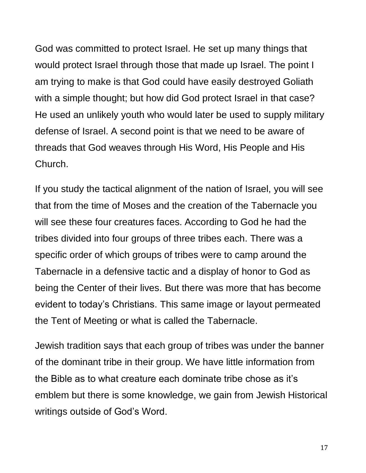God was committed to protect Israel. He set up many things that would protect Israel through those that made up Israel. The point I am trying to make is that God could have easily destroyed Goliath with a simple thought; but how did God protect Israel in that case? He used an unlikely youth who would later be used to supply military defense of Israel. A second point is that we need to be aware of threads that God weaves through His Word, His People and His Church.

If you study the tactical alignment of the nation of Israel, you will see that from the time of Moses and the creation of the Tabernacle you will see these four creatures faces. According to God he had the tribes divided into four groups of three tribes each. There was a specific order of which groups of tribes were to camp around the Tabernacle in a defensive tactic and a display of honor to God as being the Center of their lives. But there was more that has become evident to today's Christians. This same image or layout permeated the Tent of Meeting or what is called the Tabernacle.

Jewish tradition says that each group of tribes was under the banner of the dominant tribe in their group. We have little information from the Bible as to what creature each dominate tribe chose as it's emblem but there is some knowledge, we gain from Jewish Historical writings outside of God's Word.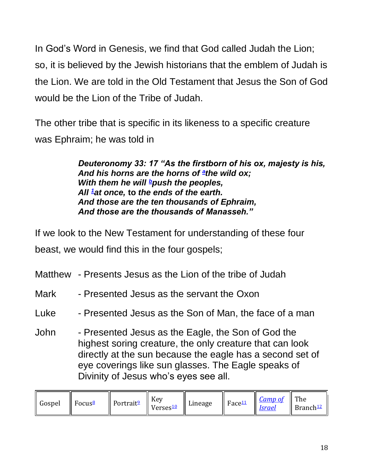In God's Word in Genesis, we find that God called Judah the Lion; so, it is believed by the Jewish historians that the emblem of Judah is the Lion. We are told in the Old Testament that Jesus the Son of God would be the Lion of the Tribe of Judah.

The other tribe that is specific in its likeness to a specific creature was Ephraim; he was told in

> *Deuteronomy 33: 17 "As the firstborn of his ox, majesty is his, And his horns are the horns of [a](https://biblia.com/books/nasb95/Dt33.12) the wild ox; With them he will [b](https://biblia.com/books/nasb95/Dt33.12)push the peoples, All [1](https://biblia.com/books/nasb95/Dt33.12)at once,* **to** *the ends of the earth. And those are the ten thousands of Ephraim, And those are the thousands of Manasseh."*

If we look to the New Testament for understanding of these four beast, we would find this in the four gospels;

| Matthew - Presents Jesus as the Lion of the tribe of Judah |  |  |  |  |  |  |  |
|------------------------------------------------------------|--|--|--|--|--|--|--|
|------------------------------------------------------------|--|--|--|--|--|--|--|

- Mark Presented Jesus as the servant the Oxon
- Luke Presented Jesus as the Son of Man, the face of a man
- John Presented Jesus as the Eagle, the Son of God the highest soring creature, the only creature that can look directly at the sun because the eagle has a second set of eye coverings like sun glasses. The Eagle speaks of Divinity of Jesus who's eyes see all.

| Gospel<br>  Focus $\frac{8}{3}$ | Portrait <sup>9</sup> | Key<br>$\parallel$ Verses <sup>10</sup> | Lineage    Face $\frac{11}{2}$ |  | $\left\  \frac{\textit{Camp of}}{\textit{Israel}} \right\ $ The | $\parallel$ Branch <sup>12</sup> |
|---------------------------------|-----------------------|-----------------------------------------|--------------------------------|--|-----------------------------------------------------------------|----------------------------------|
|---------------------------------|-----------------------|-----------------------------------------|--------------------------------|--|-----------------------------------------------------------------|----------------------------------|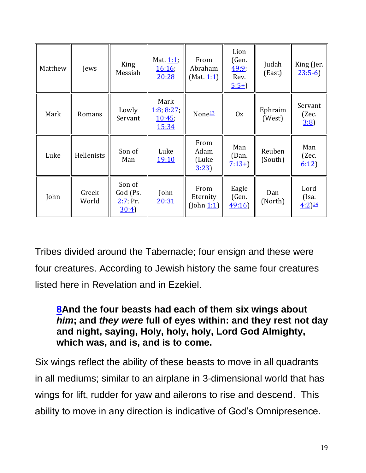| Matthew | Jews           | King<br>Messiah                          | Mat. 1:1;<br><u>16:16</u><br>20:28    | From<br>Abraham<br>(Mat. 1:1)  | Lion<br>(Gen.<br>49:9<br>Rev.<br>$5:5+$ | Judah<br>(East)   | King (Jer.<br>$23:5-6$  |
|---------|----------------|------------------------------------------|---------------------------------------|--------------------------------|-----------------------------------------|-------------------|-------------------------|
| Mark    | Romans         | Lowly<br>Servant                         | Mark<br>1:8, 8:27,<br>10:45,<br>15:34 | None <sup>13</sup>             | 0x                                      | Ephraim<br>(West) | Servant<br>(Zec.<br>3:8 |
| Luke    | Hellenists     | Son of<br>Man                            | Luke<br><u>19:10</u>                  | From<br>Adam<br>(Luke<br>3:23  | Man<br>(Dan.<br>$7:13+$                 | Reuben<br>(South) | Man<br>(Zec.<br>6:12)   |
| John    | Greek<br>World | Son of<br>God (Ps.<br>$2:7.$ Pr.<br>30:4 | John<br>20:31                         | From<br>Eternity<br>(John 1:1) | Eagle<br>(Gen.<br>49:16                 | Dan<br>(North)    | Lord<br>(Isa.<br>4:2)14 |

Tribes divided around the Tabernacle; four ensign and these were four creatures. According to Jewish history the same four creatures listed here in Revelation and in Ezekiel.

## **[8A](http://biblehub.com/revelation/4-8.htm)nd the four beasts had each of them six wings about**  *him***; and** *they were* **full of eyes within: and they rest not day and night, saying, Holy, holy, holy, Lord God Almighty, which was, and is, and is to come.**

Six wings reflect the ability of these beasts to move in all quadrants in all mediums; similar to an airplane in 3-dimensional world that has wings for lift, rudder for yaw and ailerons to rise and descend. This ability to move in any direction is indicative of God's Omnipresence.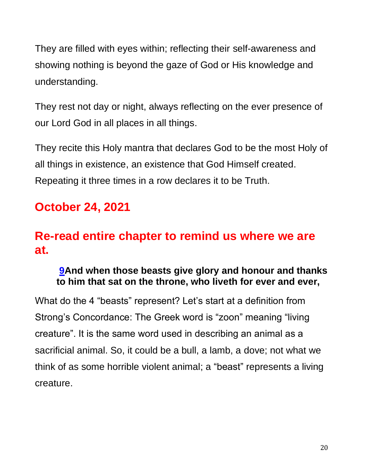They are filled with eyes within; reflecting their self-awareness and showing nothing is beyond the gaze of God or His knowledge and understanding.

They rest not day or night, always reflecting on the ever presence of our Lord God in all places in all things.

They recite this Holy mantra that declares God to be the most Holy of all things in existence, an existence that God Himself created. Repeating it three times in a row declares it to be Truth.

# **October 24, 2021**

# **Re-read entire chapter to remind us where we are at.**

## **[9A](http://biblehub.com/revelation/4-9.htm)nd when those beasts give glory and honour and thanks to him that sat on the throne, who liveth for ever and ever,**

What do the 4 "beasts" represent? Let's start at a definition from Strong's Concordance: The Greek word is "zoon" meaning "living creature". It is the same word used in describing an animal as a sacrificial animal. So, it could be a bull, a lamb, a dove; not what we think of as some horrible violent animal; a "beast" represents a living creature.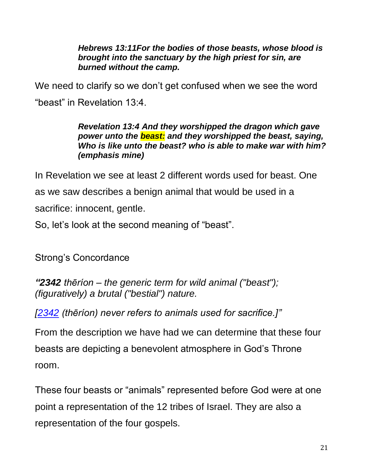*Hebrews 13:11For the bodies of those beasts, whose blood is brought into the sanctuary by the high priest for sin, are burned without the camp.* 

We need to clarify so we don't get confused when we see the word "beast" in Revelation 13:4.

#### *Revelation 13:4 And they worshipped the dragon which gave power unto the beast: and they worshipped the beast, saying, Who is like unto the beast? who is able to make war with him? (emphasis mine)*

In Revelation we see at least 2 different words used for beast. One as we saw describes a benign animal that would be used in a sacrifice: innocent, gentle.

So, let's look at the second meaning of "beast".

Strong's Concordance

*"2342 thēríon – the generic term for wild animal ("beast"); (figuratively) a brutal ("bestial") nature.*

*[\[2342](https://biblehub.com/greek/2342.htm) (thēríon) never refers to animals used for sacrifice.]"*

From the description we have had we can determine that these four beasts are depicting a benevolent atmosphere in God's Throne room.

These four beasts or "animals" represented before God were at one point a representation of the 12 tribes of Israel. They are also a representation of the four gospels.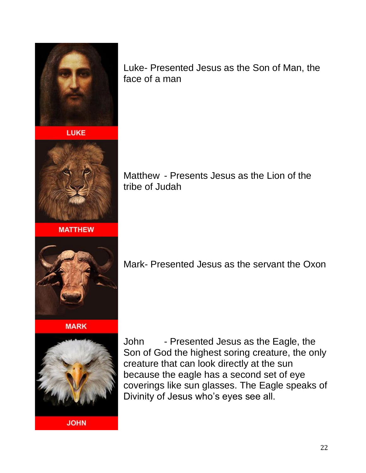

**LUKE** 



**MATTHEW** 



Matthew - Presents Jesus as the Lion of the tribe of Judah



**MARK** 



**JOHN** 

Mark- Presented Jesus as the servant the Oxon

John - Presented Jesus as the Eagle, the Son of God the highest soring creature, the only creature that can look directly at the sun because the eagle has a second set of eye coverings like sun glasses. The Eagle speaks of Divinity of Jesus who's eyes see all.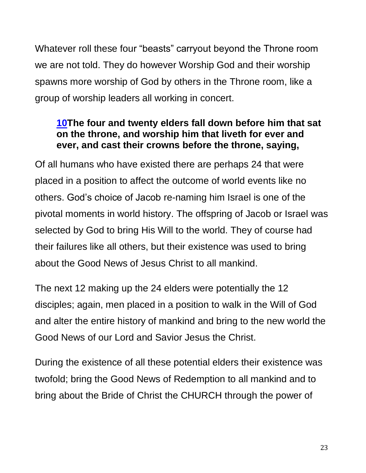Whatever roll these four "beasts" carryout beyond the Throne room we are not told. They do however Worship God and their worship spawns more worship of God by others in the Throne room, like a group of worship leaders all working in concert.

## **[10T](http://biblehub.com/revelation/4-10.htm)he four and twenty elders fall down before him that sat on the throne, and worship him that liveth for ever and ever, and cast their crowns before the throne, saying,**

Of all humans who have existed there are perhaps 24 that were placed in a position to affect the outcome of world events like no others. God's choice of Jacob re-naming him Israel is one of the pivotal moments in world history. The offspring of Jacob or Israel was selected by God to bring His Will to the world. They of course had their failures like all others, but their existence was used to bring about the Good News of Jesus Christ to all mankind.

The next 12 making up the 24 elders were potentially the 12 disciples; again, men placed in a position to walk in the Will of God and alter the entire history of mankind and bring to the new world the Good News of our Lord and Savior Jesus the Christ.

During the existence of all these potential elders their existence was twofold; bring the Good News of Redemption to all mankind and to bring about the Bride of Christ the CHURCH through the power of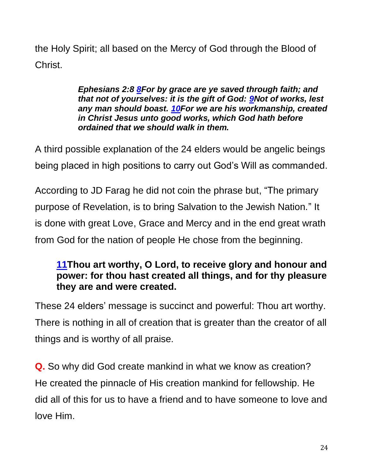the Holy Spirit; all based on the Mercy of God through the Blood of Christ.

> *Ephesians 2:8 [8F](https://biblehub.com/ephesians/2-8.htm)or by grace are ye saved through faith; and that not of yourselves: it is the gift of God: [9N](https://biblehub.com/ephesians/2-9.htm)ot of works, lest any man should boast. [10F](https://biblehub.com/ephesians/2-10.htm)or we are his workmanship, created in Christ Jesus unto good works, which God hath before ordained that we should walk in them.*

A third possible explanation of the 24 elders would be angelic beings being placed in high positions to carry out God's Will as commanded.

According to JD Farag he did not coin the phrase but, "The primary purpose of Revelation, is to bring Salvation to the Jewish Nation." It is done with great Love, Grace and Mercy and in the end great wrath from God for the nation of people He chose from the beginning.

## **[11T](http://biblehub.com/revelation/4-11.htm)hou art worthy, O Lord, to receive glory and honour and power: for thou hast created all things, and for thy pleasure they are and were created.**

These 24 elders' message is succinct and powerful: Thou art worthy. There is nothing in all of creation that is greater than the creator of all things and is worthy of all praise.

**Q.** So why did God create mankind in what we know as creation? He created the pinnacle of His creation mankind for fellowship. He did all of this for us to have a friend and to have someone to love and love Him.